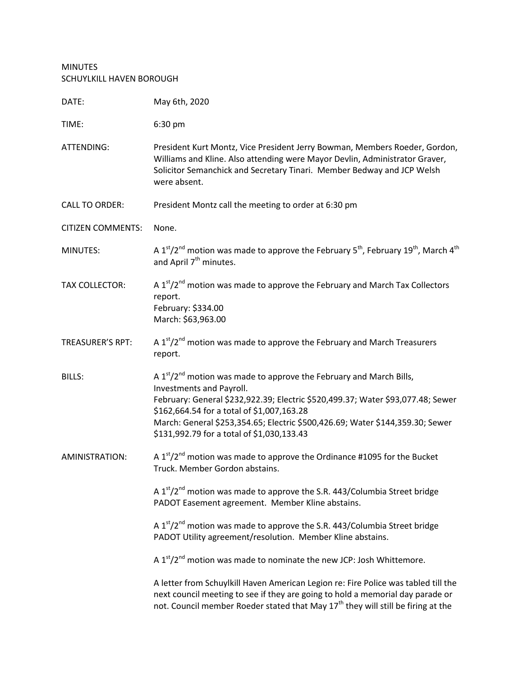MINUTES SCHUYLKILL HAVEN BOROUGH

| DATE:                    | May 6th, 2020                                                                                                                                                                                                                                                                                                                                                    |
|--------------------------|------------------------------------------------------------------------------------------------------------------------------------------------------------------------------------------------------------------------------------------------------------------------------------------------------------------------------------------------------------------|
| TIME:                    | 6:30 pm                                                                                                                                                                                                                                                                                                                                                          |
| ATTENDING:               | President Kurt Montz, Vice President Jerry Bowman, Members Roeder, Gordon,<br>Williams and Kline. Also attending were Mayor Devlin, Administrator Graver,<br>Solicitor Semanchick and Secretary Tinari. Member Bedway and JCP Welsh<br>were absent.                                                                                                              |
| <b>CALL TO ORDER:</b>    | President Montz call the meeting to order at 6:30 pm                                                                                                                                                                                                                                                                                                             |
| <b>CITIZEN COMMENTS:</b> | None.                                                                                                                                                                                                                                                                                                                                                            |
| MINUTES:                 | A 1st/2 <sup>nd</sup> motion was made to approve the February 5 <sup>th</sup> , February 19 <sup>th</sup> , March 4 <sup>th</sup><br>and April 7 <sup>th</sup> minutes.                                                                                                                                                                                          |
| <b>TAX COLLECTOR:</b>    | A $1st/2nd$ motion was made to approve the February and March Tax Collectors<br>report.<br>February: \$334.00<br>March: \$63,963.00                                                                                                                                                                                                                              |
| <b>TREASURER'S RPT:</b>  | A $1st/2nd$ motion was made to approve the February and March Treasurers<br>report.                                                                                                                                                                                                                                                                              |
| <b>BILLS:</b>            | A $1st/2nd$ motion was made to approve the February and March Bills,<br>Investments and Payroll.<br>February: General \$232,922.39; Electric \$520,499.37; Water \$93,077.48; Sewer<br>\$162,664.54 for a total of \$1,007,163.28<br>March: General \$253,354.65; Electric \$500,426.69; Water \$144,359.30; Sewer<br>\$131,992.79 for a total of \$1,030,133.43 |
| AMINISTRATION:           | A 1st/2 <sup>nd</sup> motion was made to approve the Ordinance #1095 for the Bucket<br>Truck. Member Gordon abstains.                                                                                                                                                                                                                                            |
|                          | A $1st/2nd$ motion was made to approve the S.R. 443/Columbia Street bridge<br>PADOT Easement agreement. Member Kline abstains.                                                                                                                                                                                                                                   |
|                          | A $1st/2nd$ motion was made to approve the S.R. 443/Columbia Street bridge<br>PADOT Utility agreement/resolution. Member Kline abstains.                                                                                                                                                                                                                         |
|                          | A 1 <sup>st</sup> /2 <sup>nd</sup> motion was made to nominate the new JCP: Josh Whittemore.                                                                                                                                                                                                                                                                     |
|                          | A letter from Schuylkill Haven American Legion re: Fire Police was tabled till the<br>next council meeting to see if they are going to hold a memorial day parade or<br>not. Council member Roeder stated that May 17 <sup>th</sup> they will still be firing at the                                                                                             |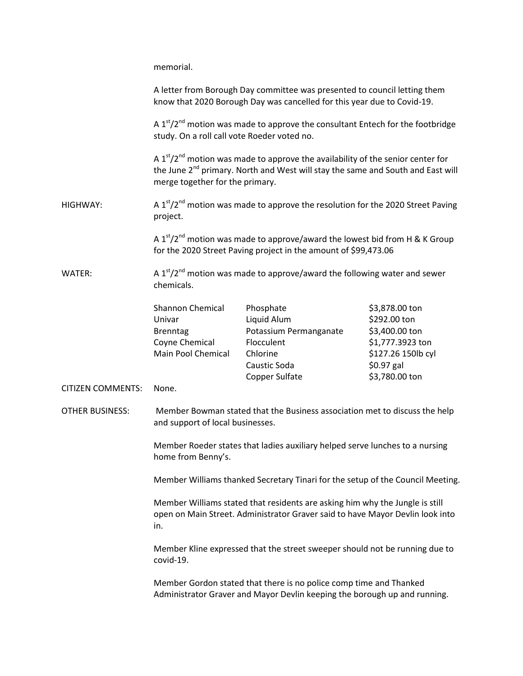memorial.

|                          |                                                                                                                                                                      | A letter from Borough Day committee was presented to council letting them<br>know that 2020 Borough Day was cancelled for this year due to Covid-19.                                      |                                                                                                                             |  |
|--------------------------|----------------------------------------------------------------------------------------------------------------------------------------------------------------------|-------------------------------------------------------------------------------------------------------------------------------------------------------------------------------------------|-----------------------------------------------------------------------------------------------------------------------------|--|
|                          | A $1st/2nd$ motion was made to approve the consultant Entech for the footbridge<br>study. On a roll call vote Roeder voted no.                                       |                                                                                                                                                                                           |                                                                                                                             |  |
|                          | merge together for the primary.                                                                                                                                      | A 1st/2 <sup>nd</sup> motion was made to approve the availability of the senior center for<br>the June 2 <sup>nd</sup> primary. North and West will stay the same and South and East will |                                                                                                                             |  |
| HIGHWAY:                 | A 1st/2 <sup>nd</sup> motion was made to approve the resolution for the 2020 Street Paving<br>project.                                                               |                                                                                                                                                                                           |                                                                                                                             |  |
|                          | A 1st/2 <sup>nd</sup> motion was made to approve/award the lowest bid from H & K Group<br>for the 2020 Street Paving project in the amount of \$99,473.06            |                                                                                                                                                                                           |                                                                                                                             |  |
| WATER:                   | chemicals.                                                                                                                                                           | A 1st/2 <sup>nd</sup> motion was made to approve/award the following water and sewer                                                                                                      |                                                                                                                             |  |
|                          | <b>Shannon Chemical</b><br>Univar<br><b>Brenntag</b><br>Coyne Chemical<br>Main Pool Chemical                                                                         | Phosphate<br>Liquid Alum<br>Potassium Permanganate<br>Flocculent<br>Chlorine<br>Caustic Soda<br>Copper Sulfate                                                                            | \$3,878.00 ton<br>\$292.00 ton<br>\$3,400.00 ton<br>\$1,777.3923 ton<br>\$127.26 150lb cyl<br>$$0.97$ gal<br>\$3,780.00 ton |  |
| <b>CITIZEN COMMENTS:</b> | None.                                                                                                                                                                |                                                                                                                                                                                           |                                                                                                                             |  |
| <b>OTHER BUSINESS:</b>   | Member Bowman stated that the Business association met to discuss the help<br>and support of local businesses.                                                       |                                                                                                                                                                                           |                                                                                                                             |  |
|                          | Member Roeder states that ladies auxiliary helped serve lunches to a nursing<br>home from Benny's.                                                                   |                                                                                                                                                                                           |                                                                                                                             |  |
|                          | Member Williams thanked Secretary Tinari for the setup of the Council Meeting.                                                                                       |                                                                                                                                                                                           |                                                                                                                             |  |
|                          | Member Williams stated that residents are asking him why the Jungle is still<br>open on Main Street. Administrator Graver said to have Mayor Devlin look into<br>in. |                                                                                                                                                                                           |                                                                                                                             |  |
|                          | Member Kline expressed that the street sweeper should not be running due to<br>covid-19.                                                                             |                                                                                                                                                                                           |                                                                                                                             |  |
|                          |                                                                                                                                                                      | Member Gordon stated that there is no police comp time and Thanked<br>Administrator Graver and Mayor Devlin keeping the borough up and running.                                           |                                                                                                                             |  |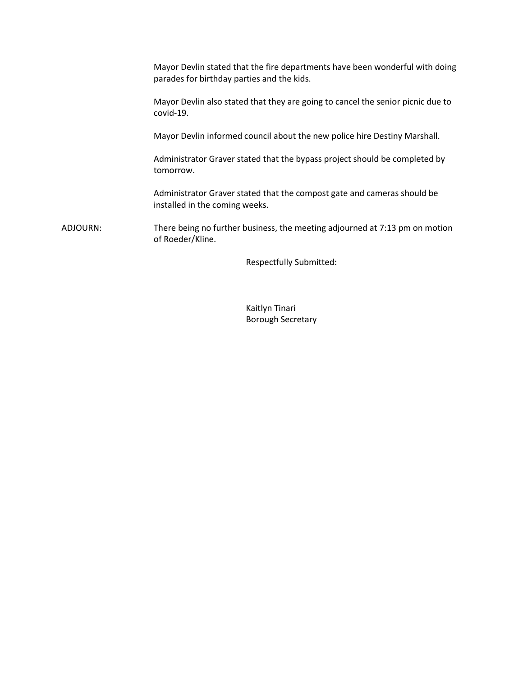|          | Mayor Devlin stated that the fire departments have been wonderful with doing<br>parades for birthday parties and the kids. |
|----------|----------------------------------------------------------------------------------------------------------------------------|
|          | Mayor Devlin also stated that they are going to cancel the senior picnic due to<br>covid-19.                               |
|          | Mayor Devlin informed council about the new police hire Destiny Marshall.                                                  |
|          | Administrator Graver stated that the bypass project should be completed by<br>tomorrow.                                    |
|          | Administrator Graver stated that the compost gate and cameras should be<br>installed in the coming weeks.                  |
| ADJOURN: | There being no further business, the meeting adjourned at 7:13 pm on motion<br>of Roeder/Kline.                            |
|          |                                                                                                                            |

Respectfully Submitted:

Kaitlyn Tinari Borough Secretary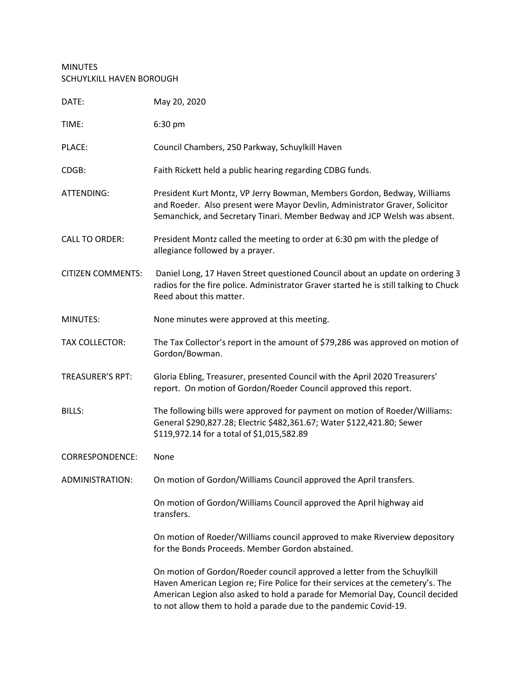## MINUTES SCHUYLKILL HAVEN BOROUGH

| DATE:                    | May 20, 2020                                                                                                                                                                                                                                                                                                     |
|--------------------------|------------------------------------------------------------------------------------------------------------------------------------------------------------------------------------------------------------------------------------------------------------------------------------------------------------------|
| TIME:                    | 6:30 pm                                                                                                                                                                                                                                                                                                          |
| PLACE:                   | Council Chambers, 250 Parkway, Schuylkill Haven                                                                                                                                                                                                                                                                  |
| CDGB:                    | Faith Rickett held a public hearing regarding CDBG funds.                                                                                                                                                                                                                                                        |
| ATTENDING:               | President Kurt Montz, VP Jerry Bowman, Members Gordon, Bedway, Williams<br>and Roeder. Also present were Mayor Devlin, Administrator Graver, Solicitor<br>Semanchick, and Secretary Tinari. Member Bedway and JCP Welsh was absent.                                                                              |
| <b>CALL TO ORDER:</b>    | President Montz called the meeting to order at 6:30 pm with the pledge of<br>allegiance followed by a prayer.                                                                                                                                                                                                    |
| <b>CITIZEN COMMENTS:</b> | Daniel Long, 17 Haven Street questioned Council about an update on ordering 3<br>radios for the fire police. Administrator Graver started he is still talking to Chuck<br>Reed about this matter.                                                                                                                |
| MINUTES:                 | None minutes were approved at this meeting.                                                                                                                                                                                                                                                                      |
| <b>TAX COLLECTOR:</b>    | The Tax Collector's report in the amount of \$79,286 was approved on motion of<br>Gordon/Bowman.                                                                                                                                                                                                                 |
| <b>TREASURER'S RPT:</b>  | Gloria Ebling, Treasurer, presented Council with the April 2020 Treasurers'<br>report. On motion of Gordon/Roeder Council approved this report.                                                                                                                                                                  |
| <b>BILLS:</b>            | The following bills were approved for payment on motion of Roeder/Williams:<br>General \$290,827.28; Electric \$482,361.67; Water \$122,421.80; Sewer<br>\$119,972.14 for a total of \$1,015,582.89                                                                                                              |
| <b>CORRESPONDENCE:</b>   | None                                                                                                                                                                                                                                                                                                             |
| ADMINISTRATION:          | On motion of Gordon/Williams Council approved the April transfers.                                                                                                                                                                                                                                               |
|                          | On motion of Gordon/Williams Council approved the April highway aid<br>transfers.                                                                                                                                                                                                                                |
|                          | On motion of Roeder/Williams council approved to make Riverview depository<br>for the Bonds Proceeds. Member Gordon abstained.                                                                                                                                                                                   |
|                          | On motion of Gordon/Roeder council approved a letter from the Schuylkill<br>Haven American Legion re; Fire Police for their services at the cemetery's. The<br>American Legion also asked to hold a parade for Memorial Day, Council decided<br>to not allow them to hold a parade due to the pandemic Covid-19. |
|                          |                                                                                                                                                                                                                                                                                                                  |